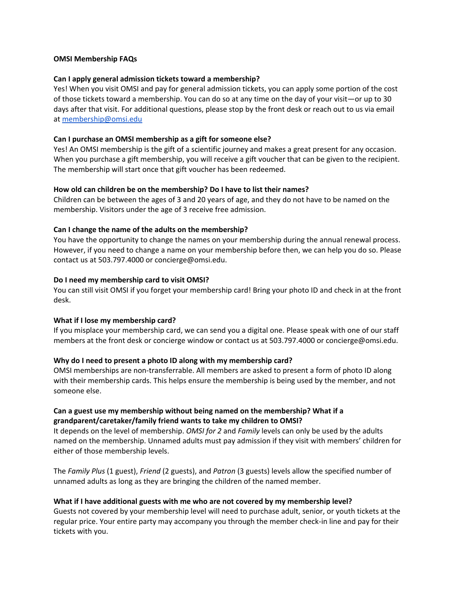## **OMSI Membership FAQs**

## **Can I apply general admission tickets toward a membership?**

Yes! When you visit OMSI and pay for general admission tickets, you can apply some portion of the cost of those tickets toward a membership. You can do so at any time on the day of your visit—or up to 30 days after that visit. For additional questions, please stop by the front desk or reach out to us via email at [membership@omsi.edu](mailto:membership@omsi.edu)

## **Can I purchase an OMSI membership as a gift for someone else?**

Yes! An OMSI membership is the gift of a scientific journey and makes a great present for any occasion. When you purchase a gift membership, you will receive a gift voucher that can be given to the recipient. The membership will start once that gift voucher has been redeemed.

## **How old can children be on the membership? Do I have to list their names?**

Children can be between the ages of 3 and 20 years of age, and they do not have to be named on the membership. Visitors under the age of 3 receive free admission.

## **Can I change the name of the adults on the membership?**

You have the opportunity to change the names on your membership during the annual renewal process. However, if you need to change a name on your membership before then, we can help you do so. Please contact us at 503.797.4000 or concierge@omsi.edu.

## **Do I need my membership card to visit OMSI?**

You can still visit OMSI if you forget your membership card! Bring your photo ID and check in at the front desk.

#### **What if I lose my membership card?**

If you misplace your membership card, we can send you a digital one. Please speak with one of our staff members at the front desk or concierge window or contact us at 503.797.4000 or concierge@omsi.edu.

# **Why do I need to present a photo ID along with my membership card?**

OMSI memberships are non-transferrable. All members are asked to present a form of photo ID along with their membership cards. This helps ensure the membership is being used by the member, and not someone else.

# **Can a guest use my membership without being named on the membership? What if a grandparent/caretaker/family friend wants to take my children to OMSI?**

It depends on the level of membership. *OMSI for 2* and *Family* levels can only be used by the adults named on the membership. Unnamed adults must pay admission if they visit with members' children for either of those membership levels.

The *Family Plus* (1 guest), *Friend* (2 guests), and *Patron* (3 guests) levels allow the specified number of unnamed adults as long as they are bringing the children of the named member.

# **What if I have additional guests with me who are not covered by my membership level?**

Guests not covered by your membership level will need to purchase adult, senior, or youth tickets at the regular price. Your entire party may accompany you through the member check-in line and pay for their tickets with you.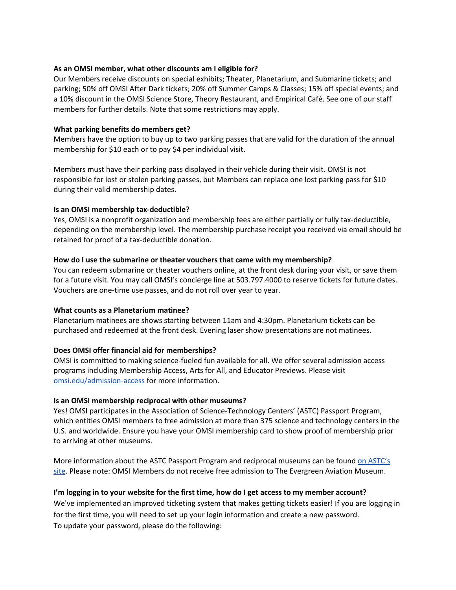## **As an OMSI member, what other discounts am I eligible for?**

Our Members receive discounts on special exhibits; Theater, Planetarium, and Submarine tickets; and parking; 50% off OMSI After Dark tickets; 20% off Summer Camps & Classes; 15% off special events; and a 10% discount in the OMSI Science Store, Theory Restaurant, and Empirical Café. See one of our staff members for further details. Note that some restrictions may apply.

## **What parking benefits do members get?**

Members have the option to buy up to two parking passes that are valid for the duration of the annual membership for \$10 each or to pay \$4 per individual visit.

Members must have their parking pass displayed in their vehicle during their visit. OMSI is not responsible for lost or stolen parking passes, but Members can replace one lost parking pass for \$10 during their valid membership dates.

#### **Is an OMSI membership tax-deductible?**

Yes, OMSI is a nonprofit organization and membership fees are either partially or fully tax-deductible, depending on the membership level. The membership purchase receipt you received via email should be retained for proof of a tax-deductible donation.

# **How do I use the submarine or theater vouchers that came with my membership?**

You can redeem submarine or theater vouchers online, at the front desk during your visit, or save them for a future visit. You may call OMSI's concierge line at 503.797.4000 to reserve tickets for future dates. Vouchers are one-time use passes, and do not roll over year to year.

#### **What counts as a Planetarium matinee?**

Planetarium matinees are shows starting between 11am and 4:30pm. Planetarium tickets can be purchased and redeemed at the front desk. Evening laser show presentations are not matinees.

# **Does OMSI offer financial aid for memberships?**

OMSI is committed to making science-fueled fun available for all. We offer several [admission](https://omsi.edu/admission-access) access [programs](https://omsi.edu/admission-access) including Membership Access, Arts for All, and Educator Previews. Please visit [omsi.edu/admission-access](https://omsi.edu/admission-access) for more information.

#### **Is an OMSI membership reciprocal with other museums?**

Yes! OMSI participates in the Association of Science-Technology Centers' (ASTC) Passport Program, which entitles OMSI members to free admission at more than 375 science and technology centers in the U.S. and worldwide. Ensure you have your OMSI membership card to show proof of membership prior to arriving at other museums.

More information about the ASTC Passport Program and reciprocal museums can be found on [ASTC's](http://www.astc.org/members/passlist_about.htm) [site.](http://www.astc.org/members/passlist_about.htm) Please note: OMSI Members do not receive free admission to The Evergreen Aviation Museum.

# I'm logging in to your website for the first time, how do I get access to my member account?

We've implemented an improved ticketing system that makes getting tickets easier! If you are logging in for the first time, you will need to set up your login information and create a new password. To update your password, please do the following: